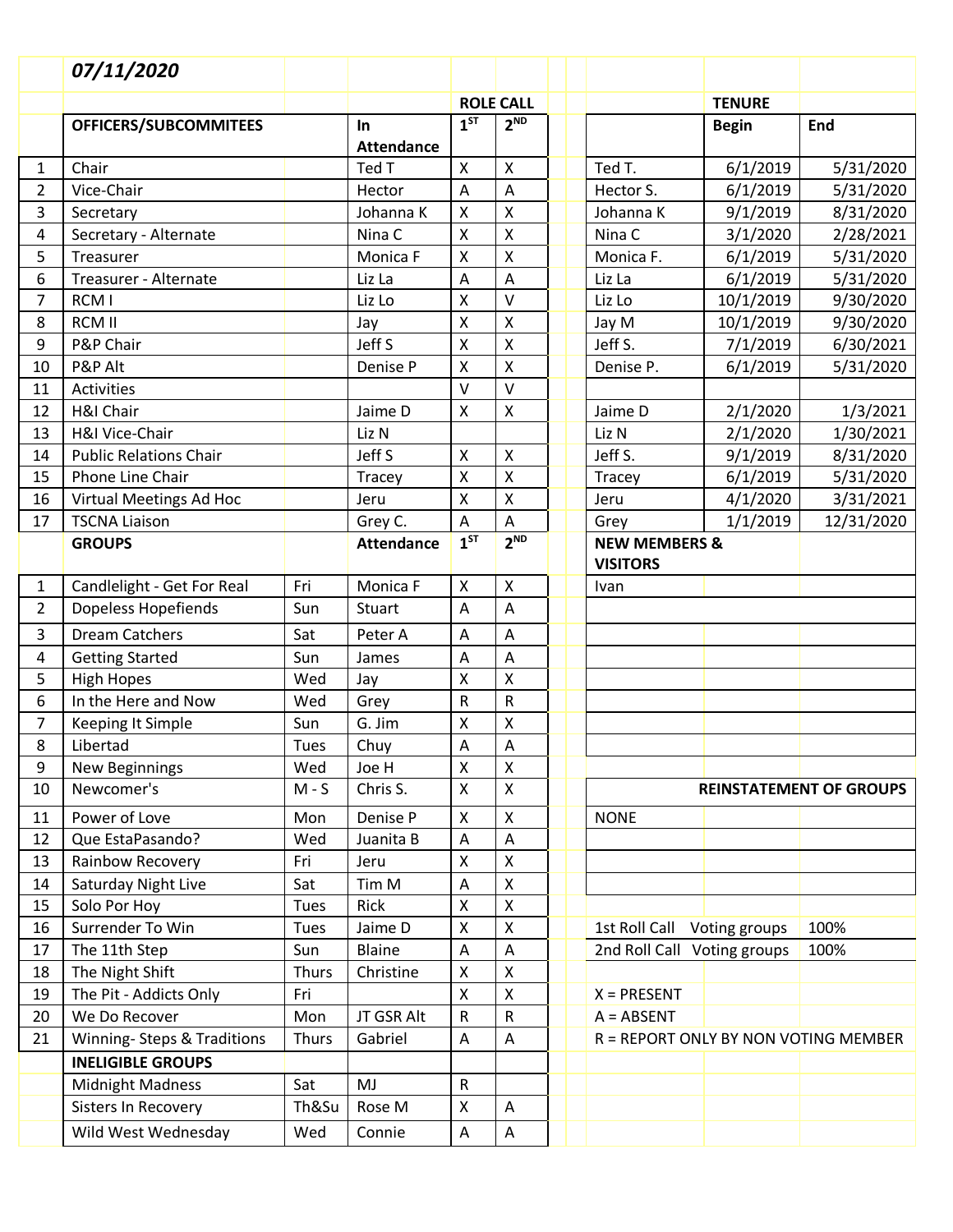|                | 07/11/2020                    |              |                         |                           |                           |                                             |               |            |
|----------------|-------------------------------|--------------|-------------------------|---------------------------|---------------------------|---------------------------------------------|---------------|------------|
|                |                               |              |                         |                           | <b>ROLE CALL</b>          |                                             | <b>TENURE</b> |            |
|                | <b>OFFICERS/SUBCOMMITEES</b>  |              | In<br><b>Attendance</b> | 1 <sup>ST</sup>           | 2 <sup>ND</sup>           |                                             | <b>Begin</b>  | End        |
| 1              | Chair                         |              | Ted T                   | $\pmb{\times}$            | $\boldsymbol{\mathsf{X}}$ | Ted T.                                      | 6/1/2019      | 5/31/2020  |
| $\overline{2}$ | Vice-Chair                    |              | Hector                  | A                         | A                         | Hector S.                                   | 6/1/2019      | 5/31/2020  |
| 3              | Secretary                     |              | Johanna K               | $\pmb{\mathsf{X}}$        | $\boldsymbol{\mathsf{X}}$ | Johanna K                                   | 9/1/2019      | 8/31/2020  |
| 4              | Secretary - Alternate         |              | Nina C                  | $\pmb{\times}$            | $\pmb{\times}$            | Nina C                                      | 3/1/2020      | 2/28/2021  |
| 5              | Treasurer                     |              | Monica F                | X                         | $\pmb{\times}$            | Monica F.                                   | 6/1/2019      | 5/31/2020  |
| 6              | Treasurer - Alternate         |              | Liz La                  | A                         | A                         | Liz La                                      | 6/1/2019      | 5/31/2020  |
| $\overline{7}$ | RCM I                         |              | Liz Lo                  | $\pmb{\mathsf{X}}$        | $\vee$                    | Liz Lo                                      | 10/1/2019     | 9/30/2020  |
| 8              | <b>RCM II</b>                 |              | Jay                     | $\pmb{\mathsf{X}}$        | $\pmb{\mathsf{X}}$        | Jay M                                       | 10/1/2019     | 9/30/2020  |
| 9              | P&P Chair                     |              | Jeff S                  | $\pmb{\times}$            | $\pmb{\times}$            | Jeff S.                                     | 7/1/2019      | 6/30/2021  |
| 10             | P&P Alt                       |              | Denise P                | X                         | X                         | Denise P.                                   | 6/1/2019      | 5/31/2020  |
| 11             | Activities                    |              |                         | V                         | $\vee$                    |                                             |               |            |
| 12             | H&I Chair                     |              | Jaime D                 | $\pmb{\times}$            | $\pmb{\mathsf{X}}$        | Jaime D                                     | 2/1/2020      | 1/3/2021   |
| 13             | H&I Vice-Chair                |              | Liz N                   |                           |                           | Liz N                                       | 2/1/2020      | 1/30/2021  |
| 14             | <b>Public Relations Chair</b> |              | Jeff S                  | $\pmb{\mathsf{X}}$        | $\boldsymbol{\mathsf{X}}$ | Jeff S.                                     | 9/1/2019      | 8/31/2020  |
| 15             | Phone Line Chair              |              | Tracey                  | $\pmb{\times}$            | $\boldsymbol{\mathsf{X}}$ | Tracey                                      | 6/1/2019      | 5/31/2020  |
| 16             | Virtual Meetings Ad Hoc       |              | Jeru                    | $\pmb{\mathsf{X}}$        | $\pmb{\times}$            | Jeru                                        | 4/1/2020      | 3/31/2021  |
| 17             | <b>TSCNA Liaison</b>          |              | Grey C.                 | $\boldsymbol{\mathsf{A}}$ | A                         | Grey                                        | 1/1/2019      | 12/31/2020 |
|                | <b>GROUPS</b>                 |              | <b>Attendance</b>       | 1 <sup>ST</sup>           | 2 <sup>ND</sup>           | <b>NEW MEMBERS &amp;</b><br><b>VISITORS</b> |               |            |
| $\mathbf{1}$   | Candlelight - Get For Real    | Fri          | Monica F                | $\pmb{\mathsf{X}}$        | $\boldsymbol{\mathsf{X}}$ | Ivan                                        |               |            |
| $\overline{2}$ | Dopeless Hopefiends           | Sun          | Stuart                  | A                         | A                         |                                             |               |            |
| 3              | <b>Dream Catchers</b>         | Sat          | Peter A                 | A                         | A                         |                                             |               |            |
| 4              | <b>Getting Started</b>        | Sun          | James                   | A                         | A                         |                                             |               |            |
| 5              | <b>High Hopes</b>             | Wed          | Jay                     | $\mathsf{\chi}$           | $\pmb{\mathsf{X}}$        |                                             |               |            |
| 6              | In the Here and Now           | Wed          | Grey                    | ${\sf R}$                 | R                         |                                             |               |            |
| $\overline{7}$ | <b>Keeping It Simple</b>      | Sun          | G. Jim                  | X                         | $\pmb{\mathsf{X}}$        |                                             |               |            |
| 8              | Libertad                      | Tues         | Chuy                    | A                         | $\overline{A}$            |                                             |               |            |
| 9              | <b>New Beginnings</b>         | Wed          | Joe H                   | $\pmb{\times}$            | $\pmb{\times}$            |                                             |               |            |
| 10             | Newcomer's                    | $M-S$        | Chris S.                | X                         | $\mathsf{X}$              | <b>REINSTATEMENT OF GROUPS</b>              |               |            |
| 11             | Power of Love                 | Mon          | Denise P                | $\pmb{\mathsf{X}}$        | $\pmb{\mathsf{X}}$        | <b>NONE</b>                                 |               |            |
| 12             | Que EstaPasando?              | Wed          | Juanita B               | Α                         | Α                         |                                             |               |            |
| 13             | Rainbow Recovery              | Fri          | Jeru                    | Χ                         | $\pmb{\mathsf{X}}$        |                                             |               |            |
| 14             | Saturday Night Live           | Sat          | Tim M                   | A                         | $\pmb{\times}$            |                                             |               |            |
| 15             | Solo Por Hoy                  | <b>Tues</b>  | Rick                    | $\mathsf X$               | $\pmb{\mathsf{X}}$        |                                             |               |            |
| 16             | Surrender To Win              | Tues         | Jaime D                 | Χ                         | $\pmb{\mathsf{X}}$        | 1st Roll Call Voting groups                 |               | 100%       |
| 17             | The 11th Step                 | Sun          | <b>Blaine</b>           | A                         | A                         | 2nd Roll Call Voting groups<br>100%         |               |            |
| 18             | The Night Shift               | <b>Thurs</b> | Christine               | X                         | X                         |                                             |               |            |
| 19             | The Pit - Addicts Only        | Fri          |                         | X                         | $\pmb{\times}$            | $X = PRESENT$                               |               |            |
| 20             | We Do Recover                 | Mon          | JT GSR Alt              | ${\sf R}$                 | R                         | $A = ABSENT$                                |               |            |
| 21             | Winning- Steps & Traditions   | Thurs        | Gabriel                 | A                         | A                         | R = REPORT ONLY BY NON VOTING MEMBER        |               |            |
|                | <b>INELIGIBLE GROUPS</b>      |              |                         |                           |                           |                                             |               |            |
|                | <b>Midnight Madness</b>       | Sat          | MJ                      | $\mathsf{R}$              |                           |                                             |               |            |
|                | Sisters In Recovery           | Th&Su        | Rose M                  | $\mathsf{x}$              | A                         |                                             |               |            |
|                | Wild West Wednesday           | Wed          | Connie                  | A                         | Α                         |                                             |               |            |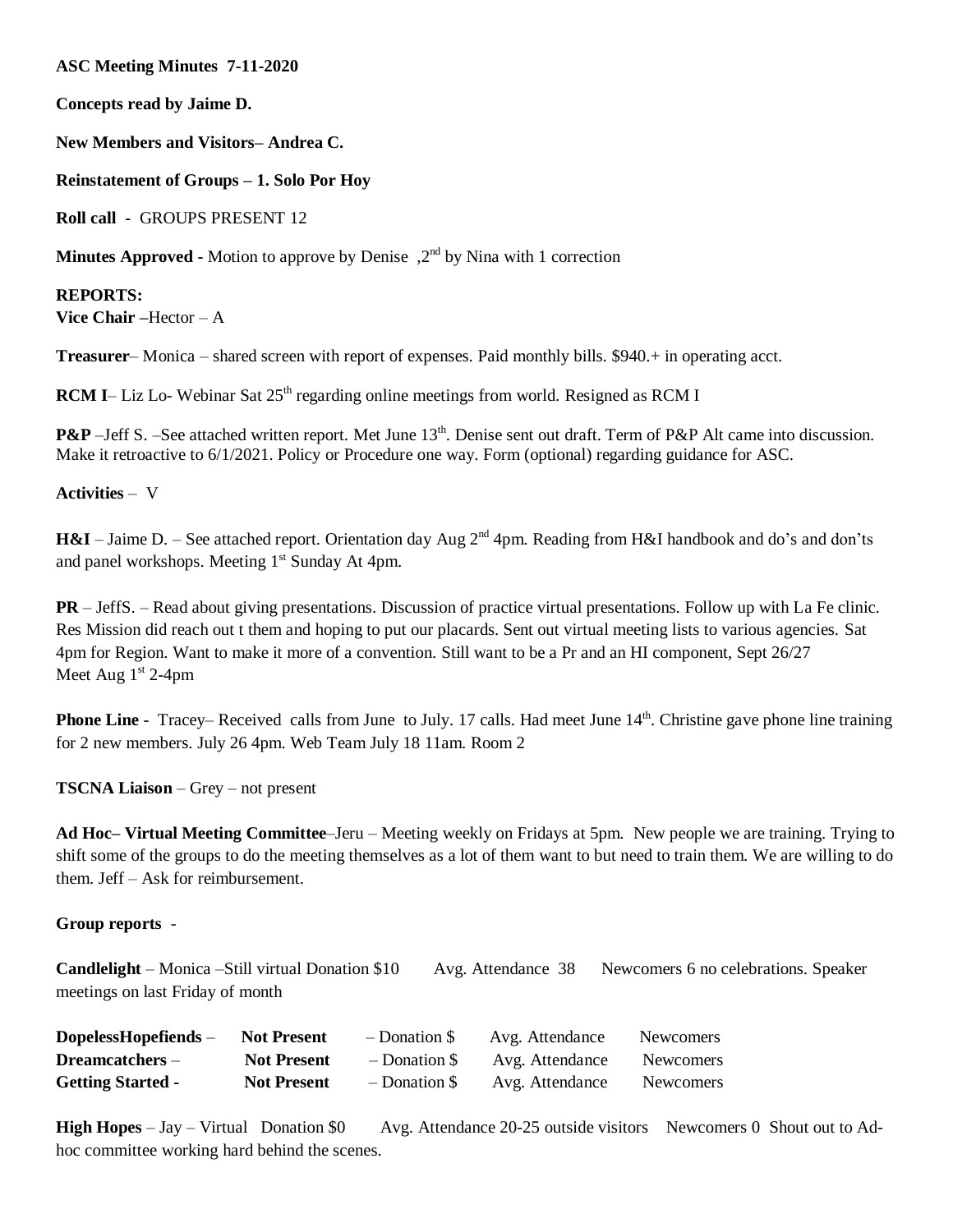**ASC Meeting Minutes 7-11-2020**

**Concepts read by Jaime D.**

**New Members and Visitors– Andrea C.** 

**Reinstatement of Groups – 1. Solo Por Hoy**

**Roll call -** GROUPS PRESENT 12

**Minutes Approved -** Motion to approve by Denise , 2<sup>nd</sup> by Nina with 1 correction

**REPORTS: Vice Chair –**Hector – A

**Treasurer**– Monica – shared screen with report of expenses. Paid monthly bills. \$940.+ in operating acct.

**RCM** I– Liz Lo- Webinar Sat 25<sup>th</sup> regarding online meetings from world. Resigned as RCM I

**P&P** –Jeff S. –See attached written report. Met June 13<sup>th</sup>. Denise sent out draft. Term of P&P Alt came into discussion. Make it retroactive to  $6/1/2021$ . Policy or Procedure one way. Form (optional) regarding guidance for ASC.

### **Activities** – V

**H&I** – Jaime D. – See attached report. Orientation day Aug 2<sup>nd</sup> 4pm. Reading from H&I handbook and do's and don'ts and panel workshops. Meeting 1<sup>st</sup> Sunday At 4pm.

**PR** – JeffS. – Read about giving presentations. Discussion of practice virtual presentations. Follow up with La Fe clinic. Res Mission did reach out t them and hoping to put our placards. Sent out virtual meeting lists to various agencies. Sat 4pm for Region. Want to make it more of a convention. Still want to be a Pr and an HI component, Sept 26/27 Meet Aug  $1<sup>st</sup> 2-4pm$ 

**Phone Line** - Tracey– Received calls from June to July. 17 calls. Had meet June 14<sup>th</sup>. Christine gave phone line training for 2 new members. July 26 4pm. Web Team July 18 11am. Room 2

**TSCNA Liaison** – Grey – not present

**Ad Hoc– Virtual Meeting Committee**–Jeru – Meeting weekly on Fridays at 5pm. New people we are training. Trying to shift some of the groups to do the meeting themselves as a lot of them want to but need to train them. We are willing to do them. Jeff – Ask for reimbursement.

#### **Group reports** -

**Candlelight** – Monica –Still virtual Donation \$10 Avg. Attendance 38 Newcomers 6 no celebrations. Speaker meetings on last Friday of month

| $Dopeless Hopefiends -$  | <b>Not Present</b> | $-$ Donation \$ | Avg. Attendance | <b>Newcomers</b> |
|--------------------------|--------------------|-----------------|-----------------|------------------|
| $D$ reamcatchers $-$     | <b>Not Present</b> | $-$ Donation \$ | Avg. Attendance | <b>Newcomers</b> |
| <b>Getting Started -</b> | <b>Not Present</b> | $-$ Donation \$ | Avg. Attendance | <b>Newcomers</b> |

**High Hopes** – Jay – Virtual Donation \$0 Avg. Attendance 20-25 outside visitors Newcomers 0 Shout out to Adhoc committee working hard behind the scenes.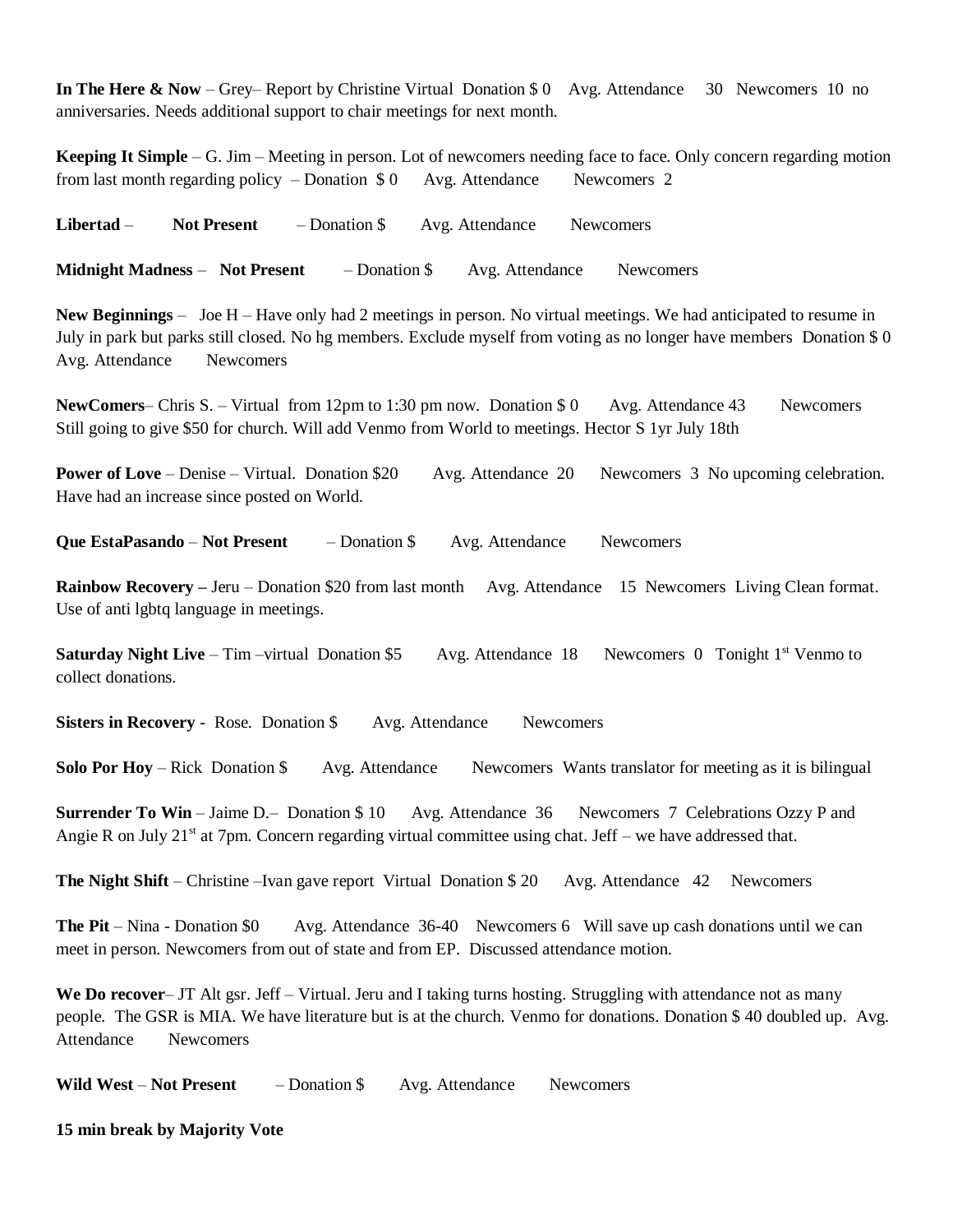**In The Here & Now** – Grey– Report by Christine Virtual Donation \$ 0 Avg. Attendance 30 Newcomers 10 no anniversaries. Needs additional support to chair meetings for next month.

**Keeping It Simple** – G. Jim – Meeting in person. Lot of newcomers needing face to face. Only concern regarding motion from last month regarding policy – Donation  $$0$  Avg. Attendance Newcomers 2

**Libertad** – **Not Present** – Donation \$ Avg. Attendance Newcomers

**Midnight Madness** – **Not Present** – Donation \$ Avg. Attendance Newcomers

**New Beginnings** – Joe H – Have only had 2 meetings in person. No virtual meetings. We had anticipated to resume in July in park but parks still closed. No hg members. Exclude myself from voting as no longer have members Donation \$ 0 Avg. Attendance Newcomers

**NewComers–** Chris S. – Virtual from 12pm to 1:30 pm now. Donation \$ 0 Avg. Attendance 43 Newcomers Still going to give \$50 for church. Will add Venmo from World to meetings. Hector S 1yr July 18th

**Power of Love** – Denise – Virtual. Donation \$20 Avg. Attendance 20 Newcomers 3 No upcoming celebration. Have had an increase since posted on World.

**Que EstaPasando** – **Not Present** – Donation \$ Avg. Attendance Newcomers

**Rainbow Recovery –** Jeru – Donation \$20 from last month Avg. Attendance 15 Newcomers Living Clean format. Use of anti lgbtq language in meetings.

**Saturday Night Live** – Tim –virtual Donation \$5 Avg. Attendance 18 Newcomers 0 Tonight 1<sup>st</sup> Venmo to collect donations.

**Sisters in Recovery** - Rose. Donation \$ Avg. Attendance Newcomers

**Solo Por Hoy** – Rick Donation \$ Avg. Attendance Newcomers Wants translator for meeting as it is bilingual

**Surrender To Win** – Jaime D.– Donation \$10 Avg. Attendance 36 Newcomers 7 Celebrations Ozzy P and Angie R on July  $21^{st}$  at 7pm. Concern regarding virtual committee using chat. Jeff – we have addressed that.

**The Night Shift** – Christine –Ivan gave report Virtual Donation \$20 Avg. Attendance 42 Newcomers

**The Pit** – Nina - Donation \$0 Avg. Attendance 36-40 Newcomers 6 Will save up cash donations until we can meet in person. Newcomers from out of state and from EP. Discussed attendance motion.

**We Do recover**– JT Alt gsr. Jeff – Virtual. Jeru and I taking turns hosting. Struggling with attendance not as many people. The GSR is MIA. We have literature but is at the church. Venmo for donations. Donation \$ 40 doubled up. Avg. Attendance Newcomers

**Wild West** – **Not Present** – Donation \$ Avg. Attendance Newcomers

**15 min break by Majority Vote**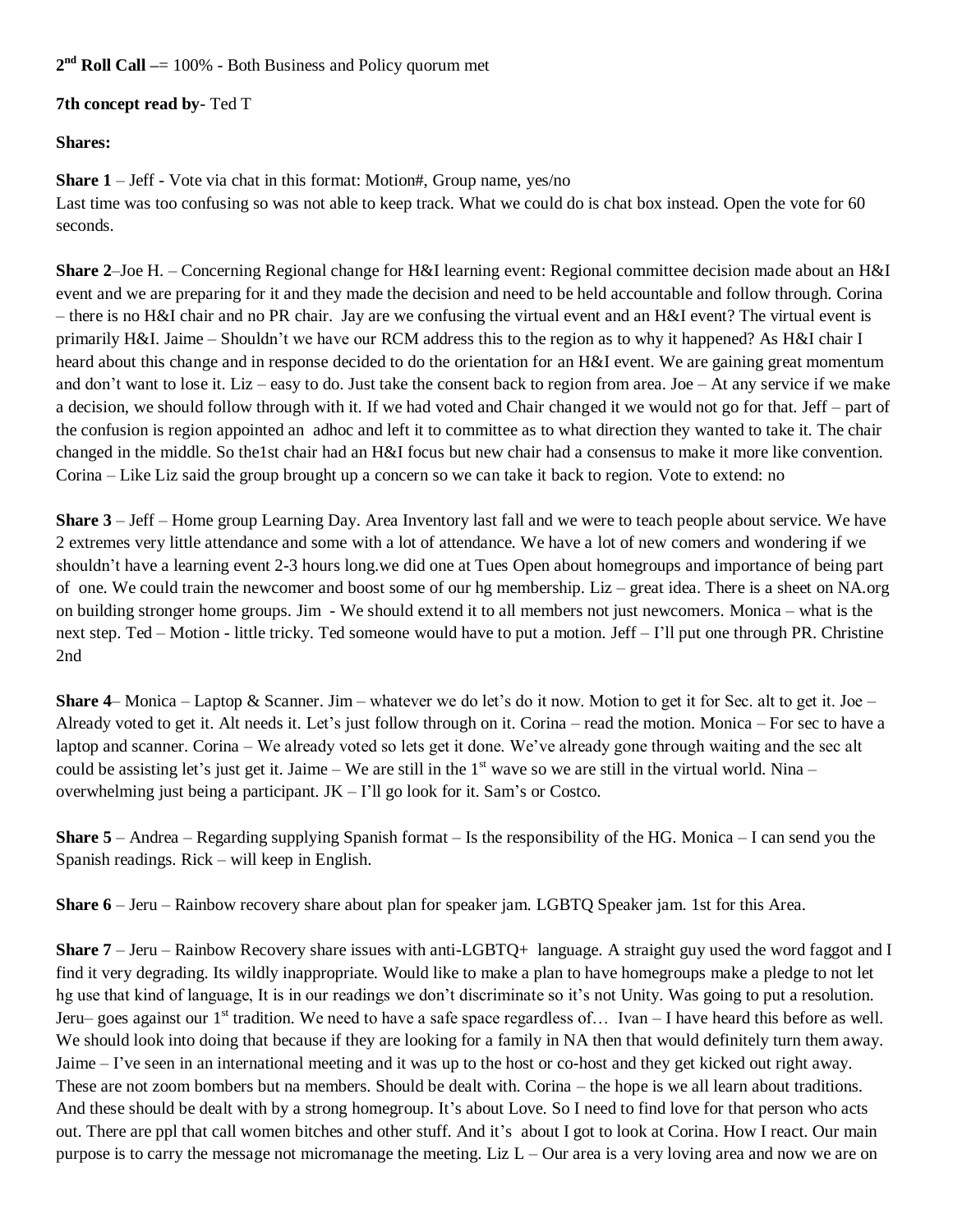**2 nd Roll Call –**= 100% - Both Business and Policy quorum met

## **7th concept read by**- Ted T

# **Shares:**

**Share 1** – Jeff - Vote via chat in this format: Motion#, Group name, yes/no Last time was too confusing so was not able to keep track. What we could do is chat box instead. Open the vote for 60 seconds.

**Share 2**–Joe H. – Concerning Regional change for H&I learning event: Regional committee decision made about an H&I event and we are preparing for it and they made the decision and need to be held accountable and follow through. Corina – there is no H&I chair and no PR chair. Jay are we confusing the virtual event and an H&I event? The virtual event is primarily H&I. Jaime – Shouldn't we have our RCM address this to the region as to why it happened? As H&I chair I heard about this change and in response decided to do the orientation for an H&I event. We are gaining great momentum and don't want to lose it. Liz – easy to do. Just take the consent back to region from area. Joe – At any service if we make a decision, we should follow through with it. If we had voted and Chair changed it we would not go for that. Jeff – part of the confusion is region appointed an adhoc and left it to committee as to what direction they wanted to take it. The chair changed in the middle. So the1st chair had an H&I focus but new chair had a consensus to make it more like convention. Corina – Like Liz said the group brought up a concern so we can take it back to region. Vote to extend: no

**Share 3** – Jeff – Home group Learning Day. Area Inventory last fall and we were to teach people about service. We have 2 extremes very little attendance and some with a lot of attendance. We have a lot of new comers and wondering if we shouldn't have a learning event 2-3 hours long.we did one at Tues Open about homegroups and importance of being part of one. We could train the newcomer and boost some of our hg membership. Liz – great idea. There is a sheet on NA.org on building stronger home groups. Jim - We should extend it to all members not just newcomers. Monica – what is the next step. Ted – Motion - little tricky. Ted someone would have to put a motion. Jeff – I'll put one through PR. Christine 2nd

**Share 4–** Monica – Laptop & Scanner. Jim – whatever we do let's do it now. Motion to get it for Sec. alt to get it. Joe – Already voted to get it. Alt needs it. Let's just follow through on it. Corina – read the motion. Monica – For sec to have a laptop and scanner. Corina – We already voted so lets get it done. We've already gone through waiting and the sec alt could be assisting let's just get it. Jaime – We are still in the  $1<sup>st</sup>$  wave so we are still in the virtual world. Nina – overwhelming just being a participant.  $JK - I'll$  go look for it. Sam's or Costco.

**Share 5** – Andrea – Regarding supplying Spanish format – Is the responsibility of the HG. Monica – I can send you the Spanish readings. Rick – will keep in English.

**Share 6** – Jeru – Rainbow recovery share about plan for speaker jam. LGBTQ Speaker jam. 1st for this Area.

**Share 7** – Jeru – Rainbow Recovery share issues with anti-LGBTQ+ language. A straight guy used the word faggot and I find it very degrading. Its wildly inappropriate. Would like to make a plan to have homegroups make a pledge to not let hg use that kind of language, It is in our readings we don't discriminate so it's not Unity. Was going to put a resolution. Jeru– goes against our  $1<sup>st</sup>$  tradition. We need to have a safe space regardless of... Ivan – I have heard this before as well. We should look into doing that because if they are looking for a family in NA then that would definitely turn them away. Jaime – I've seen in an international meeting and it was up to the host or co-host and they get kicked out right away. These are not zoom bombers but na members. Should be dealt with. Corina – the hope is we all learn about traditions. And these should be dealt with by a strong homegroup. It's about Love. So I need to find love for that person who acts out. There are ppl that call women bitches and other stuff. And it's about I got to look at Corina. How I react. Our main purpose is to carry the message not micromanage the meeting. Liz  $L -$ Our area is a very loving area and now we are on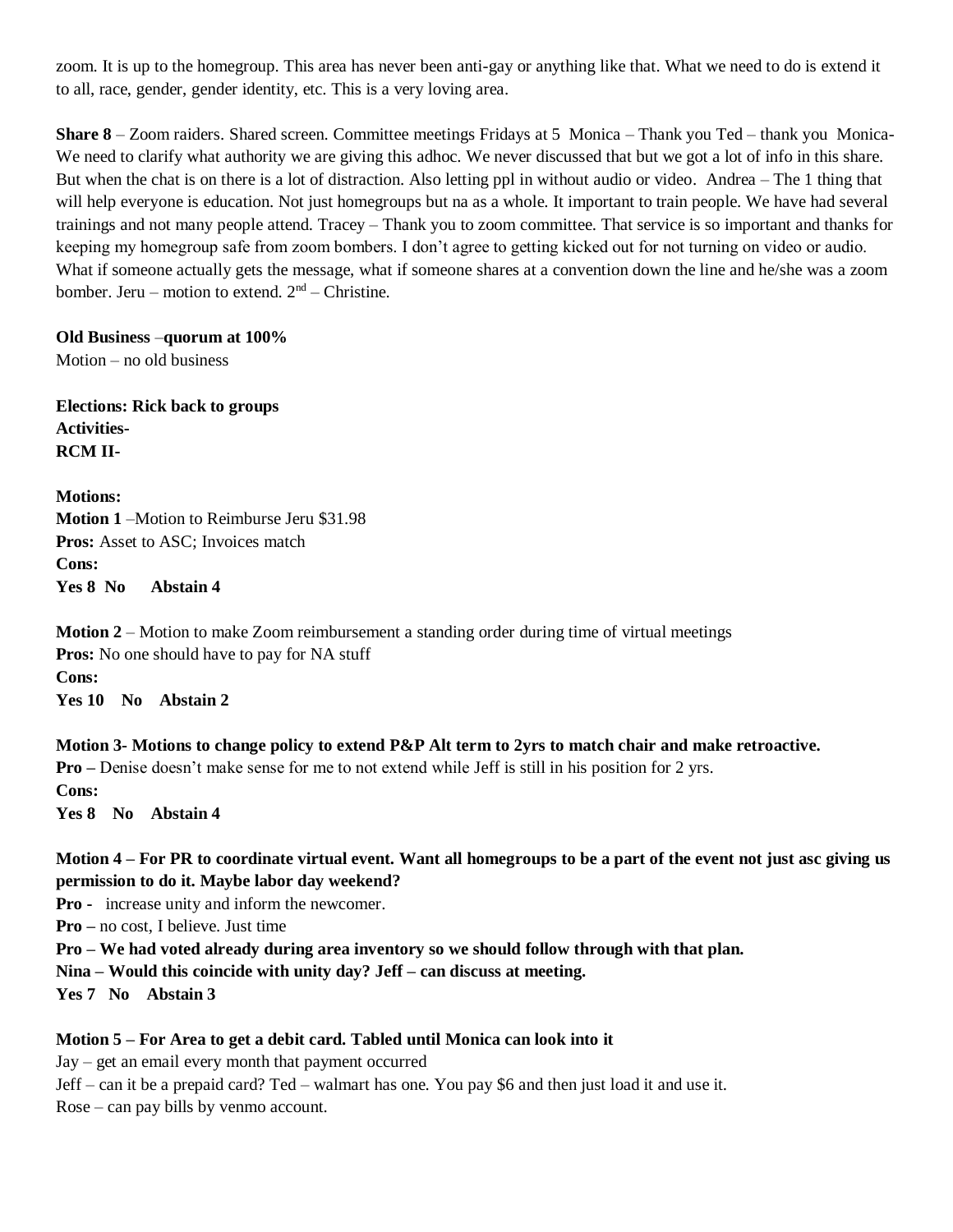zoom. It is up to the homegroup. This area has never been anti-gay or anything like that. What we need to do is extend it to all, race, gender, gender identity, etc. This is a very loving area.

**Share 8** – Zoom raiders. Shared screen. Committee meetings Fridays at 5 Monica – Thank you Ted – thank you Monica-We need to clarify what authority we are giving this adhoc. We never discussed that but we got a lot of info in this share. But when the chat is on there is a lot of distraction. Also letting ppl in without audio or video. Andrea – The 1 thing that will help everyone is education. Not just homegroups but na as a whole. It important to train people. We have had several trainings and not many people attend. Tracey – Thank you to zoom committee. That service is so important and thanks for keeping my homegroup safe from zoom bombers. I don't agree to getting kicked out for not turning on video or audio. What if someone actually gets the message, what if someone shares at a convention down the line and he/she was a zoom bomber. Jeru – motion to extend.  $2<sup>nd</sup>$  – Christine.

#### **Old Business** –**quorum at 100%**

Motion – no old business

**Elections: Rick back to groups Activities-RCM II-**

**Motions: Motion 1** –Motion to Reimburse Jeru \$31.98 **Pros:** Asset to ASC; Invoices match **Cons: Yes 8 No Abstain 4**

**Motion 2** – Motion to make Zoom reimbursement a standing order during time of virtual meetings **Pros:** No one should have to pay for NA stuff **Cons: Yes 10 No Abstain 2**

**Motion 3- Motions to change policy to extend P&P Alt term to 2yrs to match chair and make retroactive. Pro –** Denise doesn't make sense for me to not extend while Jeff is still in his position for 2 yrs. **Cons: Yes 8 No Abstain 4**

### **Motion 4 – For PR to coordinate virtual event. Want all homegroups to be a part of the event not just asc giving us permission to do it. Maybe labor day weekend?**

**Pro -** increase unity and inform the newcomer.

**Pro –** no cost, I believe. Just time

**Pro – We had voted already during area inventory so we should follow through with that plan.** 

**Nina – Would this coincide with unity day? Jeff – can discuss at meeting.** 

**Yes 7 No Abstain 3**

#### **Motion 5 – For Area to get a debit card. Tabled until Monica can look into it**

Jay – get an email every month that payment occurred Jeff – can it be a prepaid card? Ted – walmart has one. You pay \$6 and then just load it and use it. Rose – can pay bills by venmo account.